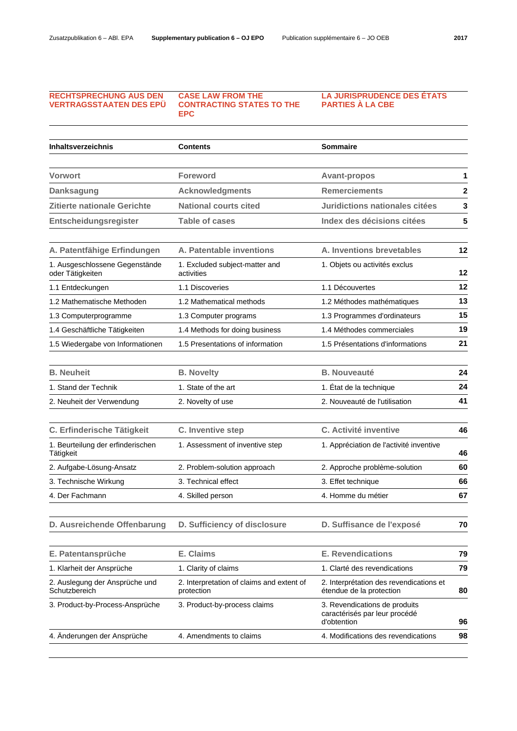## **RECHTSPRECHUNG AUS DEN VERTRAGSSTAATEN DES EPÜ**

 **CASE LAW FROM THE CONTRACTING STATES TO THE EPC** 

**LA JURISPRUDENCE DES ÉTATS PARTIES À LA CBE** 

| Inhaltsverzeichnis                                 | <b>Contents</b>                                         | Sommaire                                                                      |              |
|----------------------------------------------------|---------------------------------------------------------|-------------------------------------------------------------------------------|--------------|
|                                                    |                                                         |                                                                               |              |
| <b>Vorwort</b>                                     | <b>Foreword</b>                                         | <b>Avant-propos</b>                                                           | 1            |
| <b>Danksagung</b>                                  | <b>Acknowledgments</b>                                  | <b>Remerciements</b>                                                          | $\mathbf{2}$ |
| Zitierte nationale Gerichte                        | <b>National courts cited</b>                            | Juridictions nationales citées                                                | 3            |
| Entscheidungsregister                              | <b>Table of cases</b>                                   | Index des décisions citées                                                    | 5            |
| A. Patentfähige Erfindungen                        | A. Patentable inventions                                | A. Inventions brevetables                                                     | 12           |
| 1. Ausgeschlossene Gegenstände<br>oder Tätigkeiten | 1. Excluded subject-matter and<br>activities            | 1. Objets ou activités exclus                                                 | 12           |
| 1.1 Entdeckungen                                   | 1.1 Discoveries                                         | 1.1 Découvertes                                                               | 12           |
| 1.2 Mathematische Methoden                         | 1.2 Mathematical methods                                | 1.2 Méthodes mathématiques                                                    | 13           |
| 1.3 Computerprogramme                              | 1.3 Computer programs                                   | 1.3 Programmes d'ordinateurs                                                  | 15           |
| 1.4 Geschäftliche Tätigkeiten                      | 1.4 Methods for doing business                          | 1.4 Méthodes commerciales                                                     | 19           |
| 1.5 Wiedergabe von Informationen                   | 1.5 Presentations of information                        | 1.5 Présentations d'informations                                              | 21           |
| <b>B.</b> Neuheit                                  | <b>B. Novelty</b>                                       | <b>B.</b> Nouveauté                                                           | 24           |
| 1. Stand der Technik                               | 1. State of the art                                     | 1. État de la technique                                                       | 24           |
| 2. Neuheit der Verwendung                          | 2. Novelty of use                                       | 2. Nouveauté de l'utilisation                                                 | 41           |
| C. Erfinderische Tätigkeit                         | C. Inventive step                                       | C. Activité inventive                                                         | 46           |
| 1. Beurteilung der erfinderischen<br>Tätigkeit     | 1. Assessment of inventive step                         | 1. Appréciation de l'activité inventive                                       | 46           |
| 2. Aufgabe-Lösung-Ansatz                           | 2. Problem-solution approach                            | 2. Approche problème-solution                                                 | 60           |
| 3. Technische Wirkung                              | 3. Technical effect                                     | 3. Effet technique                                                            | 66           |
| 4. Der Fachmann                                    | 4. Skilled person                                       | 4. Homme du métier                                                            | 67           |
| D. Ausreichende Offenbarung                        | D. Sufficiency of disclosure                            | D. Suffisance de l'exposé                                                     | 70           |
| E. Patentansprüche                                 | E. Claims                                               | <b>E. Revendications</b>                                                      | 79           |
| 1. Klarheit der Ansprüche                          | 1. Clarity of claims                                    | 1. Clarté des revendications                                                  | 79           |
| 2. Auslegung der Ansprüche und<br>Schutzbereich    | 2. Interpretation of claims and extent of<br>protection | 2. Interprétation des revendications et<br>étendue de la protection           | 80           |
| 3. Product-by-Process-Ansprüche                    | 3. Product-by-process claims                            | 3. Revendications de produits<br>caractérisés par leur procédé<br>d'obtention | 96           |
| 4. Änderungen der Ansprüche                        | 4. Amendments to claims                                 | 4. Modifications des revendications                                           | 98           |